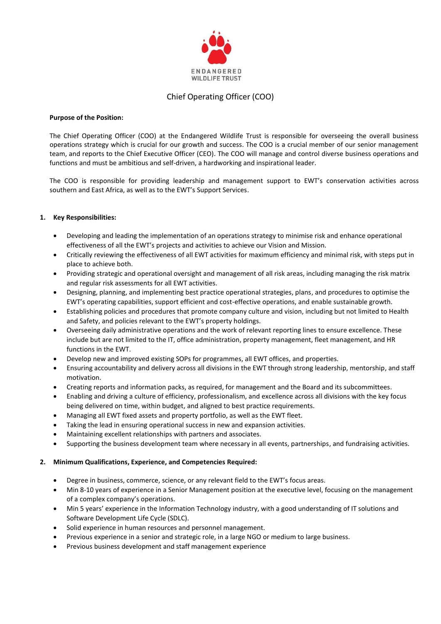

# Chief Operating Officer (COO)

### **Purpose of the Position:**

The Chief Operating Officer (COO) at the Endangered Wildlife Trust is responsible for overseeing the overall business operations strategy which is crucial for our growth and success. The COO is a crucial member of our senior management team, and reports to the Chief Executive Officer (CEO). The COO will manage and control diverse business operations and functions and must be ambitious and self-driven, a hardworking and inspirational leader.

The COO is responsible for providing leadership and management support to EWT's conservation activities across southern and East Africa, as well as to the EWT's Support Services.

## **1. Key Responsibilities:**

- Developing and leading the implementation of an operations strategy to minimise risk and enhance operational effectiveness of all the EWT's projects and activities to achieve our Vision and Mission.
- Critically reviewing the effectiveness of all EWT activities for maximum efficiency and minimal risk, with steps put in place to achieve both.
- Providing strategic and operational oversight and management of all risk areas, including managing the risk matrix and regular risk assessments for all EWT activities.
- Designing, planning, and implementing best practice operational strategies, plans, and procedures to optimise the EWT's operating capabilities, support efficient and cost-effective operations, and enable sustainable growth.
- Establishing policies and procedures that promote company culture and vision, including but not limited to Health and Safety, and policies relevant to the EWT's property holdings.
- Overseeing daily administrative operations and the work of relevant reporting lines to ensure excellence. These include but are not limited to the IT, office administration, property management, fleet management, and HR functions in the EWT.
- Develop new and improved existing SOPs for programmes, all EWT offices, and properties.
- Ensuring accountability and delivery across all divisions in the EWT through strong leadership, mentorship, and staff motivation.
- Creating reports and information packs, as required, for management and the Board and its subcommittees.
- Enabling and driving a culture of efficiency, professionalism, and excellence across all divisions with the key focus being delivered on time, within budget, and aligned to best practice requirements.
- Managing all EWT fixed assets and property portfolio, as well as the EWT fleet.
- Taking the lead in ensuring operational success in new and expansion activities.
- Maintaining excellent relationships with partners and associates.
- Supporting the business development team where necessary in all events, partnerships, and fundraising activities.

#### **2. Minimum Qualifications, Experience, and Competencies Required:**

- Degree in business, commerce, science, or any relevant field to the EWT's focus areas.
- Min 8-10 years of experience in a Senior Management position at the executive level, focusing on the management of a complex company's operations.
- Min 5 years' experience in the Information Technology industry, with a good understanding of IT solutions and Software Development Life Cycle (SDLC).
- Solid experience in human resources and personnel management.
- Previous experience in a senior and strategic role, in a large NGO or medium to large business.
- Previous business development and staff management experience